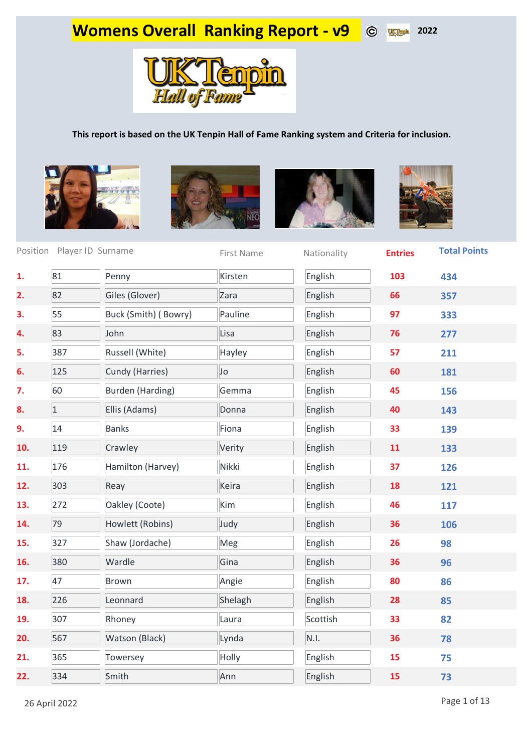## **Womens Overall Ranking Report - v9** ©  $x_1^2$  2022



## **This report is based on the UK Tenpin Hall of Fame Ranking system and Criteria for inclusion.**









|     | Position Player ID Surname |                         | First Name | Nationality | <b>Entries</b> | <b>Total Points</b> |
|-----|----------------------------|-------------------------|------------|-------------|----------------|---------------------|
| 1.  | 81                         | Penny                   | Kirsten    | English     | 103            | 434                 |
| 2.  | 82                         | Giles (Glover)          | Zara       | English     | 66             | 357                 |
| 3.  | 55                         | Buck (Smith) (Bowry)    | Pauline    | English     | 97             | 333                 |
| 4.  | 83                         | John                    | Lisa       | English     | 76             | 277                 |
| 5.  | 387                        | Russell (White)         | Hayley     | English     | 57             | 211                 |
| 6.  | 125                        | Cundy (Harries)         | Jo         | English     | 60             | 181                 |
| 7.  | 60                         | <b>Burden (Harding)</b> | Gemma      | English     | 45             | 156                 |
| 8.  | $\overline{1}$             | Ellis (Adams)           | Donna      | English     | 40             | 143                 |
| 9.  | 14                         | <b>Banks</b>            | Fiona      | English     | 33             | 139                 |
| 10. | 119                        | Crawley                 | Verity     | English     | 11             | 133                 |
| 11. | 176                        | Hamilton (Harvey)       | Nikki      | English     | 37             | 126                 |
| 12. | 303                        | Reay                    | Keira      | English     | 18             | 121                 |
| 13. | 272                        | Oakley (Coote)          | Kim        | English     | 46             | 117                 |
| 14. | 79                         | Howlett (Robins)        | Judy       | English     | 36             | 106                 |
| 15. | 327                        | Shaw (Jordache)         | Meg        | English     | 26             | 98                  |
| 16. | 380                        | Wardle                  | Gina       | English     | 36             | 96                  |
| 17. | 47                         | Brown                   | Angie      | English     | 80             | 86                  |
| 18. | 226                        | Leonnard                | Shelagh    | English     | 28             | 85                  |
| 19. | 307                        | Rhoney                  | Laura      | Scottish    | 33             | 82                  |
| 20. | 567                        | Watson (Black)          | Lynda      | N.I.        | 36             | 78                  |
| 21. | 365                        | Towersey                | Holly      | English     | 15             | 75                  |
| 22. | 334                        | Smith                   | Ann        | English     | 15             | 73                  |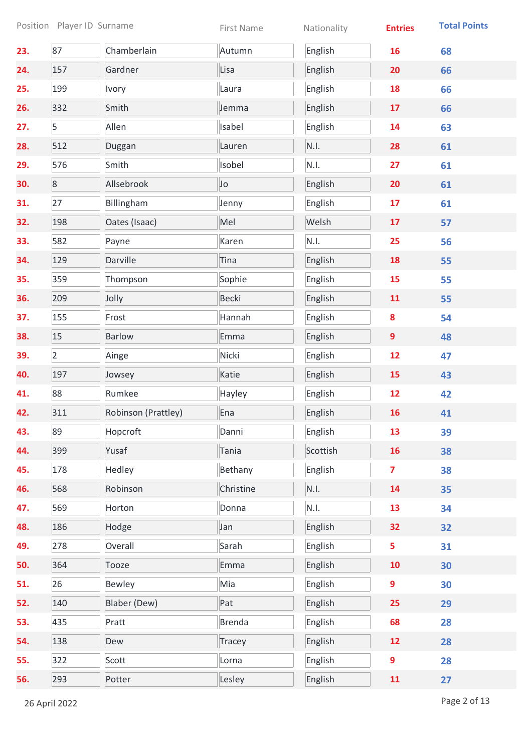|     |                | Position Player ID Surname | First Name    | Nationality | <b>Entries</b>          | <b>Total Points</b> |
|-----|----------------|----------------------------|---------------|-------------|-------------------------|---------------------|
| 23. | 87             | Chamberlain                | Autumn        | English     | 16                      | 68                  |
| 24. | 157            | Gardner                    | Lisa          | English     | 20                      | 66                  |
| 25. | 199            | Ivory                      | Laura         | English     | 18                      | 66                  |
| 26. | 332            | Smith                      | Jemma         | English     | 17                      | 66                  |
| 27. | 5              | Allen                      | Isabel        | English     | 14                      | 63                  |
| 28. | 512            | Duggan                     | Lauren        | N.I.        | 28                      | 61                  |
| 29. | 576            | Smith                      | Isobel        | N.I.        | 27                      | 61                  |
| 30. | $8\phantom{.}$ | Allsebrook                 | Jo            | English     | 20                      | 61                  |
| 31. | 27             | Billingham                 | Jenny         | English     | 17                      | 61                  |
| 32. | 198            | Oates (Isaac)              | Mel           | Welsh       | 17                      | 57                  |
| 33. | 582            | Payne                      | Karen         | N.I.        | 25                      | 56                  |
| 34. | 129            | Darville                   | Tina          | English     | 18                      | 55                  |
| 35. | 359            | Thompson                   | Sophie        | English     | 15                      | 55                  |
| 36. | 209            | Jolly                      | <b>Becki</b>  | English     | 11                      | 55                  |
| 37. | 155            | Frost                      | Hannah        | English     | $\boldsymbol{8}$        | 54                  |
| 38. | 15             | <b>Barlow</b>              | Emma          | English     | $\overline{9}$          | 48                  |
| 39. | $\overline{2}$ | Ainge                      | Nicki         | English     | 12                      | 47                  |
| 40. | 197            | Jowsey                     | Katie         | English     | 15                      | 43                  |
| 41. | 88             | Rumkee                     | Hayley        | English     | 12                      | 42                  |
| 42. | 311            | Robinson (Prattley)        | Ena           | English     | 16                      | 41                  |
| 43. | 89             | Hopcroft                   | Danni         | English     | 13                      | 39                  |
| 44. | 399            | Yusaf                      | Tania         | Scottish    | 16                      | 38                  |
| 45. | 178            | Hedley                     | Bethany       | English     | $\overline{\mathbf{z}}$ | 38                  |
| 46. | 568            | Robinson                   | Christine     | N.I.        | 14                      | 35                  |
| 47. | 569            | Horton                     | Donna         | N.I.        | 13                      | 34                  |
| 48. | 186            | Hodge                      | Jan           | English     | 32                      | 32                  |
| 49. | 278            | Overall                    | Sarah         | English     | 5                       | 31                  |
| 50. | 364            | Tooze                      | Emma          | English     | 10                      | 30                  |
| 51. | 26             | <b>Bewley</b>              | Mia           | English     | 9                       | 30                  |
| 52. | 140            | Blaber (Dew)               | Pat           | English     | 25                      | 29                  |
| 53. | 435            | Pratt                      | <b>Brenda</b> | English     | 68                      | 28                  |
| 54. | 138            | Dew                        | Tracey        | English     | 12                      | 28                  |
| 55. | 322            | Scott                      | Lorna         | English     | 9                       | 28                  |
| 56. | 293            | Potter                     | Lesley        | English     | 11                      | 27                  |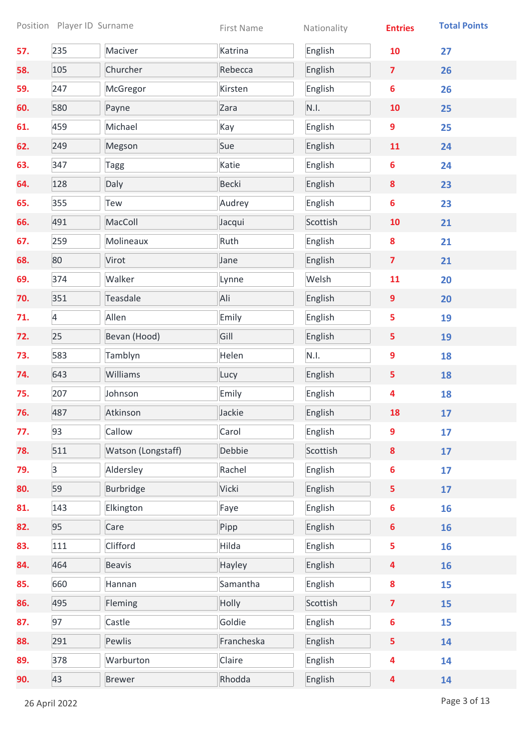|     |                | Position Player ID Surname | First Name   | Nationality | <b>Entries</b>          | <b>Total Points</b> |
|-----|----------------|----------------------------|--------------|-------------|-------------------------|---------------------|
| 57. | 235            | Maciver                    | Katrina      | English     | 10                      | 27                  |
| 58. | 105            | Churcher                   | Rebecca      | English     | $\overline{\mathbf{z}}$ | 26                  |
| 59. | 247            | McGregor                   | Kirsten      | English     | $6\phantom{1}$          | 26                  |
| 60. | 580            | Payne                      | Zara         | N.I.        | 10                      | 25                  |
| 61. | 459            | Michael                    | Kay          | English     | 9                       | 25                  |
| 62. | 249            | Megson                     | Sue          | English     | 11                      | 24                  |
| 63. | 347            | <b>Tagg</b>                | Katie        | English     | 6                       | 24                  |
| 64. | 128            | Daly                       | <b>Becki</b> | English     | 8                       | 23                  |
| 65. | 355            | Tew                        | Audrey       | English     | $6\phantom{1}$          | 23                  |
| 66. | 491            | MacColl                    | Jacqui       | Scottish    | 10                      | 21                  |
| 67. | 259            | Molineaux                  | Ruth         | English     | 8                       | 21                  |
| 68. | 80             | Virot                      | Jane         | English     | $\overline{\mathbf{z}}$ | 21                  |
| 69. | 374            | Walker                     | Lynne        | Welsh       | 11                      | 20                  |
| 70. | 351            | Teasdale                   | Ali          | English     | 9                       | 20                  |
| 71. | $\overline{4}$ | Allen                      | Emily        | English     | 5                       | 19                  |
| 72. | 25             | Bevan (Hood)               | Gill         | English     | 5                       | 19                  |
| 73. | 583            | Tamblyn                    | Helen        | N.I.        | 9                       | 18                  |
| 74. | 643            | Williams                   | Lucy         | English     | 5                       | 18                  |
| 75. | 207            | Johnson                    | Emily        | English     | 4                       | 18                  |
| 76. | 487            | Atkinson                   | Jackie       | English     | 18                      | 17                  |
| 77. | 93             | Callow                     | Carol        | English     | 9                       | 17                  |
| 78. | 511            | Watson (Longstaff)         | Debbie       | Scottish    | 8                       | 17                  |
| 79. | $\overline{3}$ | Aldersley                  | Rachel       | English     | $6\phantom{a}$          | 17                  |
| 80. | 59             | Burbridge                  | Vicki        | English     | 5                       | 17                  |
| 81. | 143            | Elkington                  | Faye         | English     | $6\phantom{a}$          | 16                  |
| 82. | 95             | Care                       | Pipp         | English     | $6\phantom{a}$          | 16                  |
| 83. | 111            | Clifford                   | Hilda        | English     | 5                       | 16                  |
| 84. | 464            | <b>Beavis</b>              | Hayley       | English     | 4                       | 16                  |
| 85. | 660            | Hannan                     | Samantha     | English     | 8                       | 15                  |
| 86. | 495            | Fleming                    | Holly        | Scottish    | $\overline{\mathbf{z}}$ | 15                  |
| 87. | 97             | Castle                     | Goldie       | English     | 6                       | 15                  |
| 88. | 291            | Pewlis                     | Francheska   | English     | 5                       | 14                  |
| 89. | 378            | Warburton                  | Claire       | English     | 4                       | 14                  |
| 90. | 43             | <b>Brewer</b>              | Rhodda       | English     | $\overline{\mathbf{4}}$ | 14                  |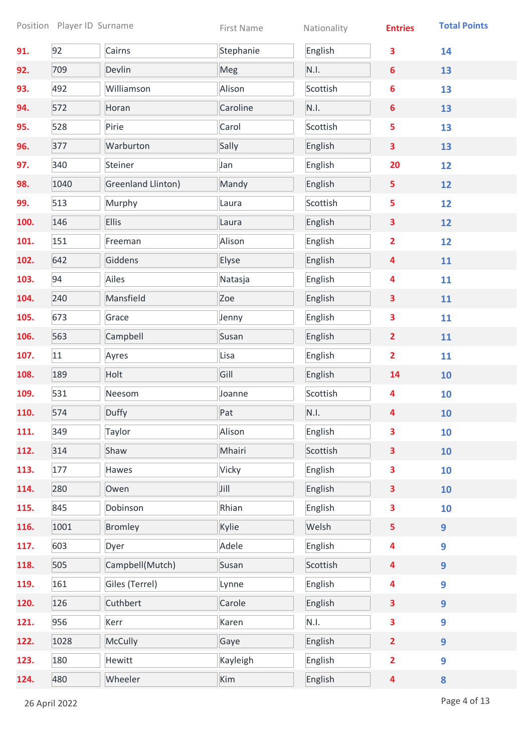|      |      | Position Player ID Surname | First Name | Nationality | <b>Entries</b>          | <b>Total Points</b> |
|------|------|----------------------------|------------|-------------|-------------------------|---------------------|
| 91.  | 92   | Cairns                     | Stephanie  | English     | 3                       | 14                  |
| 92.  | 709  | Devlin                     | Meg        | N.I.        | $6\phantom{a}$          | 13                  |
| 93.  | 492  | Williamson                 | Alison     | Scottish    | 6                       | 13                  |
| 94.  | 572  | Horan                      | Caroline   | N.I.        | 6                       | 13                  |
| 95.  | 528  | Pirie                      | Carol      | Scottish    | 5                       | 13                  |
| 96.  | 377  | Warburton                  | Sally      | English     | 3                       | 13                  |
| 97.  | 340  | Steiner                    | Jan        | English     | 20                      | 12                  |
| 98.  | 1040 | Greenland Llinton)         | Mandy      | English     | 5                       | 12                  |
| 99.  | 513  | Murphy                     | Laura      | Scottish    | 5                       | 12                  |
| 100. | 146  | <b>Ellis</b>               | Laura      | English     | 3                       | 12                  |
| 101. | 151  | Freeman                    | Alison     | English     | $\overline{2}$          | 12                  |
| 102. | 642  | Giddens                    | Elyse      | English     | $\overline{\mathbf{4}}$ | 11                  |
| 103. | 94   | Ailes                      | Natasja    | English     | 4                       | 11                  |
| 104. | 240  | Mansfield                  | Zoe        | English     | 3                       | 11                  |
| 105. | 673  | Grace                      | Jenny      | English     | 3                       | 11                  |
| 106. | 563  | Campbell                   | Susan      | English     | $\overline{2}$          | 11                  |
| 107. | 11   | Ayres                      | Lisa       | English     | $\overline{2}$          | 11                  |
| 108. | 189  | Holt                       | Gill       | English     | 14                      | 10                  |
| 109. | 531  | Neesom                     | Joanne     | Scottish    | 4                       | 10                  |
| 110. | 574  | Duffy                      | Pat        | N.I.        | 4                       | <b>10</b>           |
| 111. | 349  | Taylor                     | Alison     | English     | 3                       | 10                  |
| 112. | 314  | Shaw                       | Mhairi     | Scottish    | 3                       | 10                  |
| 113. | 177  | Hawes                      | Vicky      | English     | 3                       | 10                  |
| 114. | 280  | Owen                       | Jill       | English     | 3                       | 10                  |
| 115. | 845  | Dobinson                   | Rhian      | English     | 3                       | 10                  |
| 116. | 1001 | <b>Bromley</b>             | Kylie      | Welsh       | 5                       | 9                   |
| 117. | 603  | Dyer                       | Adele      | English     | 4                       | 9                   |
| 118. | 505  | Campbell(Mutch)            | Susan      | Scottish    | $\overline{\mathbf{4}}$ | 9                   |
| 119. | 161  | Giles (Terrel)             | Lynne      | English     | 4                       | 9                   |
| 120. | 126  | Cuthbert                   | Carole     | English     | 3                       | $\overline{9}$      |
| 121. | 956  | Kerr                       | Karen      | N.I.        | 3                       | 9                   |
| 122. | 1028 | McCully                    | Gaye       | English     | $\overline{2}$          | $\overline{9}$      |
| 123. | 180  | Hewitt                     | Kayleigh   | English     | $\overline{2}$          | 9                   |
| 124. | 480  | Wheeler                    | Kim        | English     | 4                       | 8                   |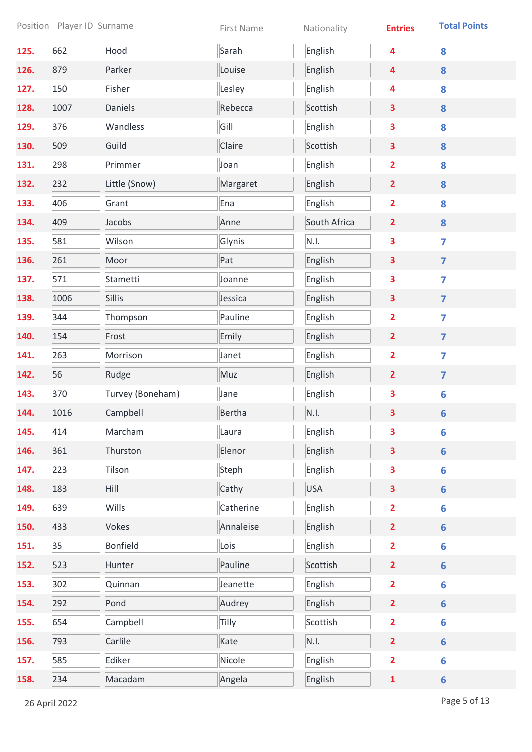|      |      | Position Player ID Surname | First Name    | Nationality  | <b>Entries</b>          | <b>Total Points</b>     |
|------|------|----------------------------|---------------|--------------|-------------------------|-------------------------|
| 125. | 662  | Hood                       | Sarah         | English      | 4                       | 8                       |
| 126. | 879  | Parker                     | Louise        | English      | 4                       | 8                       |
| 127. | 150  | Fisher                     | Lesley        | English      | 4                       | 8                       |
| 128. | 1007 | Daniels                    | Rebecca       | Scottish     | $\overline{\mathbf{3}}$ | 8                       |
| 129. | 376  | Wandless                   | Gill          | English      | 3                       | 8                       |
| 130. | 509  | Guild                      | Claire        | Scottish     | 3                       | 8                       |
| 131. | 298  | Primmer                    | Joan          | English      | $\overline{\mathbf{2}}$ | 8                       |
| 132. | 232  | Little (Snow)              | Margaret      | English      | $\overline{2}$          | 8                       |
| 133. | 406  | Grant                      | Ena           | English      | $\overline{2}$          | 8                       |
| 134. | 409  | Jacobs                     | Anne          | South Africa | $\overline{2}$          | 8                       |
| 135. | 581  | Wilson                     | Glynis        | N.I.         | 3                       | $\overline{7}$          |
| 136. | 261  | Moor                       | Pat           | English      | 3                       | $\overline{\mathbf{z}}$ |
| 137. | 571  | Stametti                   | Joanne        | English      | 3                       | $\overline{\mathbf{z}}$ |
| 138. | 1006 | <b>Sillis</b>              | Jessica       | English      | 3                       | $\overline{7}$          |
| 139. | 344  | Thompson                   | Pauline       | English      | $\overline{\mathbf{2}}$ | $\overline{\mathbf{z}}$ |
| 140. | 154  | Frost                      | Emily         | English      | $\overline{2}$          | $\overline{7}$          |
| 141. | 263  | Morrison                   | Janet         | English      | $\overline{\mathbf{2}}$ | $\overline{7}$          |
| 142. | 56   | Rudge                      | Muz           | English      | $\overline{2}$          | $\overline{7}$          |
| 143. | 370  | Turvey (Boneham)           | Jane          | English      | 3                       | $6\phantom{a}$          |
| 144. | 1016 | Campbell                   | <b>Bertha</b> | N.I.         | 3                       | $6\phantom{1}$          |
| 145. | 414  | Marcham                    | Laura         | English      | 3                       | $6\phantom{a}$          |
| 146. | 361  | Thurston                   | Elenor        | English      | 3                       | $6\phantom{a}$          |
| 147. | 223  | Tilson                     | Steph         | English      | 3                       | $6\phantom{a}$          |
| 148. | 183  | Hill                       | Cathy         | <b>USA</b>   | $\overline{\mathbf{3}}$ | $6\phantom{a}$          |
| 149. | 639  | Wills                      | Catherine     | English      | $\overline{\mathbf{2}}$ | $6\phantom{1}$          |
| 150. | 433  | <b>Vokes</b>               | Annaleise     | English      | $\overline{2}$          | $6\phantom{a}$          |
| 151. | 35   | <b>Bonfield</b>            | Lois          | English      | $\overline{\mathbf{2}}$ | 6                       |
| 152. | 523  | Hunter                     | Pauline       | Scottish     | $\overline{2}$          | $6\phantom{a}$          |
| 153. | 302  | Quinnan                    | Jeanette      | English      | $\overline{\mathbf{2}}$ | 6                       |
| 154. | 292  | Pond                       | Audrey        | English      | $\overline{2}$          | $6\phantom{a}$          |
| 155. | 654  | Campbell                   | Tilly         | Scottish     | $\overline{\mathbf{2}}$ | 6                       |
| 156. | 793  | Carlile                    | Kate          | N.I.         | $\overline{2}$          | $6\phantom{a}$          |
| 157. | 585  | Ediker                     | Nicole        | English      | $\overline{\mathbf{2}}$ | 6                       |
| 158. | 234  | Macadam                    | Angela        | English      | $\mathbf{1}$            | $6\phantom{a}$          |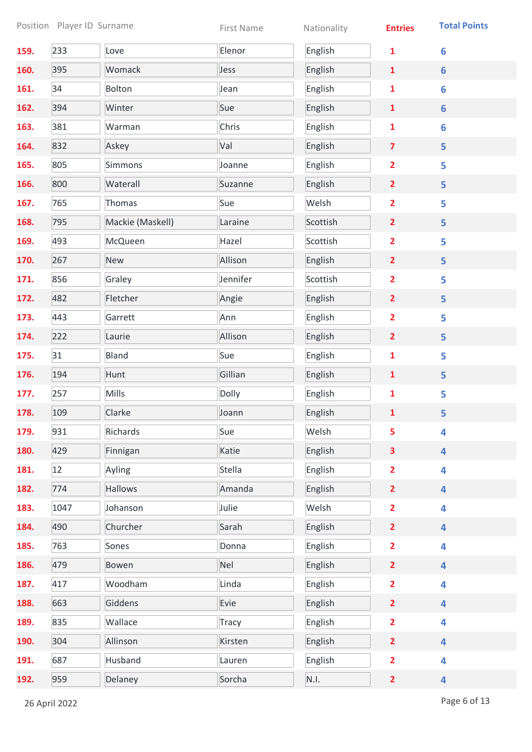| Position Player ID Surname |      | First Name       | Nationality  | <b>Entries</b> | <b>Total Points</b>     |                |
|----------------------------|------|------------------|--------------|----------------|-------------------------|----------------|
| 159.                       | 233  | Love             | Elenor       | English        | 1                       | 6              |
| 160.                       | 395  | Womack           | Jess         | English        | $\mathbf{1}$            | $6\phantom{a}$ |
| 161.                       | 34   | Bolton           | Jean         | English        | 1                       | $6\phantom{1}$ |
| 162.                       | 394  | Winter           | Sue          | English        | $\mathbf{1}$            | $6\phantom{a}$ |
| 163.                       | 381  | Warman           | Chris        | English        | $\mathbf{1}$            | 6              |
| 164.                       | 832  | Askey            | Val          | English        | $\overline{7}$          | 5              |
| 165.                       | 805  | Simmons          | Joanne       | English        | $\overline{\mathbf{2}}$ | 5              |
| 166.                       | 800  | Waterall         | Suzanne      | English        | $\overline{2}$          | 5              |
| 167.                       | 765  | Thomas           | Sue          | Welsh          | $\overline{2}$          | 5              |
| 168.                       | 795  | Mackie (Maskell) | Laraine      | Scottish       | $\overline{2}$          | 5              |
| 169.                       | 493  | McQueen          | Hazel        | Scottish       | $\overline{\mathbf{2}}$ | 5              |
| 170.                       | 267  | New              | Allison      | English        | $\overline{2}$          | 5              |
| 171.                       | 856  | Graley           | Jennifer     | Scottish       | $\overline{\mathbf{2}}$ | 5              |
| 172.                       | 482  | Fletcher         | Angie        | English        | $\overline{2}$          | 5              |
| 173.                       | 443  | Garrett          | Ann          | English        | $\overline{\mathbf{2}}$ | 5              |
| 174.                       | 222  | Laurie           | Allison      | English        | $\overline{2}$          | 5              |
| 175.                       | 31   | Bland            | Sue          | English        | $\mathbf{1}$            | 5              |
| 176.                       | 194  | Hunt             | Gillian      | English        | $\mathbf{1}$            | 5              |
| 177.                       | 257  | <b>Mills</b>     | Dolly        | English        | $\mathbf{1}$            | 5              |
| 178.                       | 109  | Clarke           | Joann        | English        | $\mathbf{1}$            | 5              |
| 179.                       | 931  | Richards         | Sue          | Welsh          | 5                       | 4              |
| 180.                       | 429  | Finnigan         | Katie        | English        | 3                       | 4              |
| 181.                       | 12   | Ayling           | Stella       | English        | $\overline{\mathbf{2}}$ | 4              |
| 182.                       | 774  | Hallows          | Amanda       | English        | $\overline{2}$          | 4              |
| 183.                       | 1047 | Johanson         | Julie        | Welsh          | $\overline{\mathbf{2}}$ | 4              |
| 184.                       | 490  | Churcher         | Sarah        | English        | $\overline{2}$          | 4              |
| 185.                       | 763  | Sones            | Donna        | English        | $\overline{2}$          | 4              |
| 186.                       | 479  | Bowen            | Nel          | English        | $\overline{2}$          | 4              |
| 187.                       | 417  | Woodham          | Linda        | English        | $\overline{\mathbf{2}}$ | 4              |
| 188.                       | 663  | Giddens          | Evie         | English        | $\overline{2}$          | 4              |
| 189.                       | 835  | Wallace          | <b>Tracy</b> | English        | $\overline{\mathbf{2}}$ | 4              |
| 190.                       | 304  | Allinson         | Kirsten      | English        | $\overline{2}$          | 4              |
| 191.                       | 687  | Husband          | Lauren       | English        | $\overline{\mathbf{2}}$ | 4              |
| 192.                       | 959  | Delaney          | Sorcha       | N.I.           | $\overline{2}$          | 4              |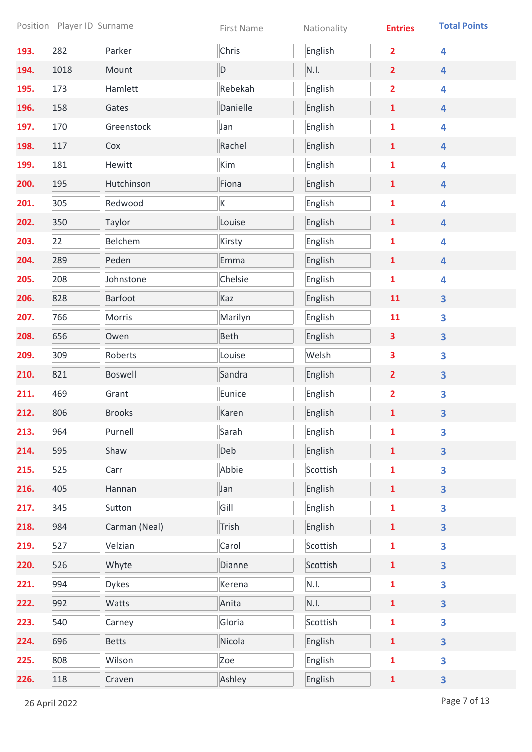| Position Player ID Surname |      | First Name     | Nationality | <b>Entries</b> | <b>Total Points</b>     |                         |
|----------------------------|------|----------------|-------------|----------------|-------------------------|-------------------------|
| 193.                       | 282  | Parker         | Chris       | English        | $\overline{2}$          | 4                       |
| 194.                       | 1018 | Mount          | D           | N.I.           | $\overline{2}$          | 4                       |
| 195.                       | 173  | Hamlett        | Rebekah     | English        | $\overline{\mathbf{2}}$ | 4                       |
| 196.                       | 158  | Gates          | Danielle    | English        | $\mathbf{1}$            | 4                       |
| 197.                       | 170  | Greenstock     | Jan         | English        | $\mathbf{1}$            | 4                       |
| 198.                       | 117  | Cox            | Rachel      | English        | $\mathbf{1}$            | 4                       |
| 199.                       | 181  | Hewitt         | Kim         | English        | $\mathbf{1}$            | 4                       |
| 200.                       | 195  | Hutchinson     | Fiona       | English        | $\mathbf{1}$            | 4                       |
| 201.                       | 305  | Redwood        | K           | English        | $\mathbf{1}$            | 4                       |
| 202.                       | 350  | Taylor         | Louise      | English        | $\mathbf{1}$            | 4                       |
| 203.                       | 22   | Belchem        | Kirsty      | English        | $\mathbf{1}$            | 4                       |
| 204.                       | 289  | Peden          | Emma        | English        | $\mathbf{1}$            | 4                       |
| 205.                       | 208  | Johnstone      | Chelsie     | English        | 1                       | 4                       |
| 206.                       | 828  | <b>Barfoot</b> | Kaz         | English        | 11                      | 3                       |
| 207.                       | 766  | Morris         | Marilyn     | English        | 11                      | 3                       |
| 208.                       | 656  | Owen           | <b>Beth</b> | English        | 3                       | $\overline{\mathbf{3}}$ |
| 209.                       | 309  | Roberts        | Louise      | Welsh          | 3                       | 3                       |
| 210.                       | 821  | <b>Boswell</b> | Sandra      | English        | $\overline{2}$          | $\overline{\mathbf{3}}$ |
| 211.                       | 469  | Grant          | Eunice      | English        | $\overline{\mathbf{2}}$ | 3                       |
| 212.                       | 806  | <b>Brooks</b>  | Karen       | English        | $\mathbf{1}$            | 3                       |
| 213.                       | 964  | Purnell        | Sarah       | English        | 1                       | 3                       |
| 214.                       | 595  | Shaw           | Deb         | English        | $\mathbf{1}$            | 3                       |
| 215.                       | 525  | Carr           | Abbie       | Scottish       | $\mathbf{1}$            | 3                       |
| 216.                       | 405  | Hannan         | Jan         | English        | $\mathbf{1}$            | $\overline{\mathbf{3}}$ |
| 217.                       | 345  | Sutton         | Gill        | English        | $\mathbf{1}$            | 3                       |
| 218.                       | 984  | Carman (Neal)  | Trish       | English        | $\mathbf{1}$            | $\overline{\mathbf{3}}$ |
| 219.                       | 527  | Velzian        | Carol       | Scottish       | $\mathbf{1}$            | 3                       |
| 220.                       | 526  | Whyte          | Dianne      | Scottish       | $\mathbf{1}$            | $\overline{\mathbf{3}}$ |
| 221.                       | 994  | <b>Dykes</b>   | Kerena      | N.I.           | $\mathbf{1}$            | 3                       |
| 222.                       | 992  | Watts          | Anita       | N.I.           | $\mathbf{1}$            | 3                       |
| 223.                       | 540  | Carney         | Gloria      | Scottish       | $\mathbf{1}$            | 3                       |
| 224.                       | 696  | <b>Betts</b>   | Nicola      | English        | $\mathbf{1}$            | $\overline{\mathbf{3}}$ |
| 225.                       | 808  | Wilson         | Zoe         | English        | $\mathbf{1}$            | 3                       |
| 226.                       | 118  | Craven         | Ashley      | English        | $\mathbf{1}$            | $\overline{\mathbf{3}}$ |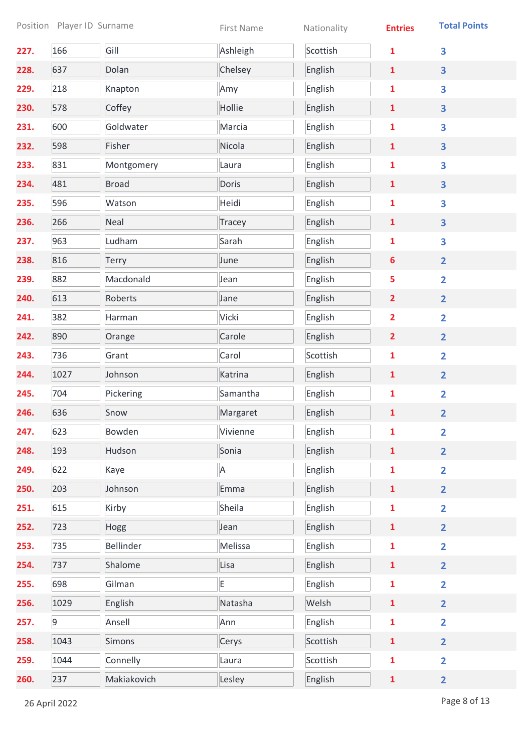|      |             | Position Player ID Surname | First Name | Nationality | <b>Entries</b>          | <b>Total Points</b>     |
|------|-------------|----------------------------|------------|-------------|-------------------------|-------------------------|
| 227. | 166         | Gill                       | Ashleigh   | Scottish    | 1                       | 3                       |
| 228. | 637         | Dolan                      | Chelsey    | English     | $\mathbf{1}$            | 3                       |
| 229. | 218         | Knapton                    | Amy        | English     | 1                       | 3                       |
| 230. | 578         | Coffey                     | Hollie     | English     | $\mathbf{1}$            | 3                       |
| 231. | 600         | Goldwater                  | Marcia     | English     | $\mathbf{1}$            | 3                       |
| 232. | 598         | Fisher                     | Nicola     | English     | $\mathbf{1}$            | 3                       |
| 233. | 831         | Montgomery                 | Laura      | English     | $\mathbf{1}$            | 3                       |
| 234. | 481         | <b>Broad</b>               | Doris      | English     | $\mathbf{1}$            | $\overline{\mathbf{3}}$ |
| 235. | 596         | Watson                     | Heidi      | English     | $\mathbf{1}$            | 3                       |
| 236. | 266         | Neal                       | Tracey     | English     | $\mathbf{1}$            | $\overline{\mathbf{3}}$ |
| 237. | 963         | Ludham                     | Sarah      | English     | $\mathbf{1}$            | 3                       |
| 238. | 816         | <b>Terry</b>               | June       | English     | $6\phantom{1}$          | $\overline{2}$          |
| 239. | 882         | Macdonald                  | Jean       | English     | 5                       | $\overline{2}$          |
| 240. | 613         | Roberts                    | Jane       | English     | $\overline{2}$          | $\overline{2}$          |
| 241. | 382         | Harman                     | Vicki      | English     | $\overline{\mathbf{2}}$ | $\overline{2}$          |
| 242. | 890         | Orange                     | Carole     | English     | $\overline{2}$          | $\overline{2}$          |
| 243. | 736         | Grant                      | Carol      | Scottish    | $\mathbf{1}$            | $\overline{\mathbf{2}}$ |
| 244. | 1027        | Johnson                    | Katrina    | English     | $\mathbf{1}$            | $\overline{2}$          |
| 245. | 704         | Pickering                  | Samantha   | English     | $\mathbf{1}$            | $\overline{\mathbf{2}}$ |
| 246. | 636         | Snow                       | Margaret   | English     | $\mathbf{1}$            | $\overline{2}$          |
| 247. | 623         | Bowden                     | Vivienne   | English     | 1                       | $\overline{2}$          |
| 248. | 193         | Hudson                     | Sonia      | English     | $\mathbf{1}$            | $\overline{2}$          |
| 249. | 622         | Kaye                       | A          | English     | $\mathbf{1}$            | $\overline{\mathbf{2}}$ |
| 250. | 203         | Johnson                    | Emma       | English     | $\mathbf{1}$            | $\overline{2}$          |
| 251. | 615         | Kirby                      | Sheila     | English     | $\mathbf{1}$            | $\overline{\mathbf{2}}$ |
| 252. | 723         | Hogg                       | Jean       | English     | $\mathbf{1}$            | $\overline{2}$          |
| 253. | 735         | Bellinder                  | Melissa    | English     | $\mathbf{1}$            | $\overline{\mathbf{2}}$ |
| 254. | 737         | Shalome                    | Lisa       | English     | $\mathbf{1}$            | $\overline{2}$          |
| 255. | 698         | Gilman                     | E          | English     | $\mathbf{1}$            | $\overline{\mathbf{2}}$ |
| 256. | 1029        | English                    | Natasha    | Welsh       | $\mathbf{1}$            | $\overline{2}$          |
| 257. | $\mathsf 9$ | Ansell                     | Ann        | English     | $\mathbf{1}$            | $\overline{\mathbf{2}}$ |
| 258. | 1043        | <b>Simons</b>              | Cerys      | Scottish    | $\mathbf{1}$            | $\overline{2}$          |
| 259. | 1044        | Connelly                   | Laura      | Scottish    | $\mathbf{1}$            | $\overline{\mathbf{2}}$ |
| 260. | 237         | Makiakovich                | Lesley     | English     | $\mathbf{1}$            | $\overline{2}$          |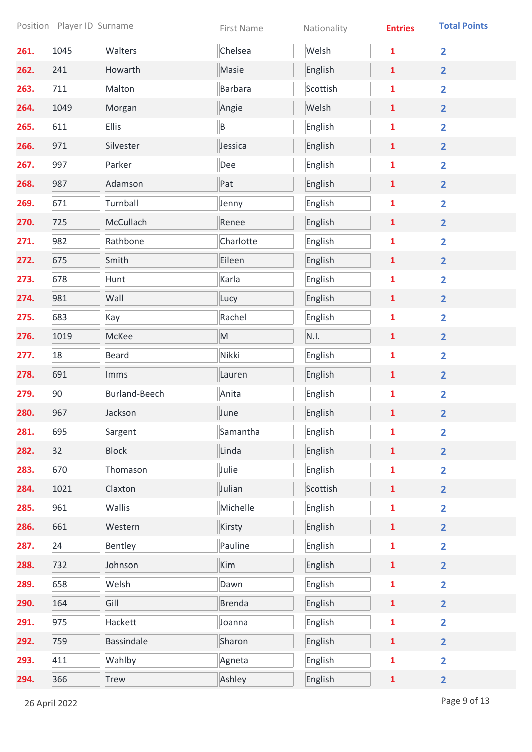| Position Player ID Surname |      | First Name           | Nationality    | <b>Entries</b> | <b>Total Points</b> |                         |
|----------------------------|------|----------------------|----------------|----------------|---------------------|-------------------------|
| 261.                       | 1045 | Walters              | Chelsea        | Welsh          | 1                   | $\overline{2}$          |
| 262.                       | 241  | Howarth              | Masie          | English        | $\mathbf{1}$        | $\overline{2}$          |
| 263.                       | 711  | Malton               | <b>Barbara</b> | Scottish       | 1                   | $\overline{\mathbf{2}}$ |
| 264.                       | 1049 | Morgan               | Angie          | Welsh          | $\mathbf{1}$        | $\overline{2}$          |
| 265.                       | 611  | <b>Ellis</b>         | B              | English        | $\mathbf{1}$        | $\overline{2}$          |
| 266.                       | 971  | Silvester            | Jessica        | English        | $\mathbf{1}$        | $\overline{2}$          |
| 267.                       | 997  | Parker               | Dee            | English        | $\mathbf{1}$        | $\overline{\mathbf{2}}$ |
| 268.                       | 987  | Adamson              | Pat            | English        | $\mathbf{1}$        | $\overline{2}$          |
| 269.                       | 671  | Turnball             | Jenny          | English        | $\mathbf{1}$        | $\overline{2}$          |
| 270.                       | 725  | McCullach            | Renee          | English        | $\mathbf{1}$        | $\overline{2}$          |
| 271.                       | 982  | Rathbone             | Charlotte      | English        | $\mathbf{1}$        | $\overline{\mathbf{2}}$ |
| 272.                       | 675  | Smith                | Eileen         | English        | $\mathbf{1}$        | $\overline{2}$          |
| 273.                       | 678  | Hunt                 | Karla          | English        | 1                   | $\overline{2}$          |
| 274.                       | 981  | Wall                 | Lucy           | English        | $\mathbf{1}$        | $\overline{2}$          |
| 275.                       | 683  | Kay                  | Rachel         | English        | 1                   | $\overline{2}$          |
| 276.                       | 1019 | McKee                | M              | N.I.           | $\mathbf{1}$        | $\overline{2}$          |
| 277.                       | 18   | <b>Beard</b>         | Nikki          | English        | 1                   | $\overline{\mathbf{2}}$ |
| 278.                       | 691  | Imms                 | Lauren         | English        | $\mathbf{1}$        | $\overline{2}$          |
| 279.                       | 90   | <b>Burland-Beech</b> | Anita          | English        | $\mathbf{1}$        | $\overline{\mathbf{2}}$ |
| 280.                       | 967  | Jackson              | June           | English        | $\mathbf{1}$        | $\overline{2}$          |
| 281.                       | 695  | Sargent              | Samantha       | English        | 1                   | $\overline{\mathbf{2}}$ |
| 282.                       | 32   | <b>Block</b>         | Linda          | English        | $\mathbf{1}$        | $\overline{2}$          |
| 283.                       | 670  | Thomason             | Julie          | English        | $\mathbf{1}$        | $\overline{\mathbf{2}}$ |
| 284.                       | 1021 | Claxton              | Julian         | Scottish       | $\mathbf{1}$        | $\overline{2}$          |
| 285.                       | 961  | Wallis               | Michelle       | English        | $\mathbf{1}$        | $\overline{2}$          |
| 286.                       | 661  | Western              | Kirsty         | English        | $\mathbf{1}$        | $\overline{2}$          |
| 287.                       | 24   | Bentley              | Pauline        | English        | $\mathbf{1}$        | $\overline{\mathbf{2}}$ |
| 288.                       | 732  | Johnson              | Kim            | English        | $\mathbf{1}$        | $\overline{2}$          |
| 289.                       | 658  | Welsh                | Dawn           | English        | $\mathbf{1}$        | $\overline{\mathbf{2}}$ |
| 290.                       | 164  | Gill                 | <b>Brenda</b>  | English        | $\mathbf{1}$        | $\overline{2}$          |
| 291.                       | 975  | Hackett              | Joanna         | English        | $\mathbf{1}$        | $\overline{\mathbf{2}}$ |
| 292.                       | 759  | <b>Bassindale</b>    | Sharon         | English        | $\mathbf{1}$        | $\overline{2}$          |
| 293.                       | 411  | Wahlby               | Agneta         | English        | $\mathbf{1}$        | $\overline{\mathbf{2}}$ |
| 294.                       | 366  | <b>Trew</b>          | Ashley         | English        | $\mathbf{1}$        | $\overline{2}$          |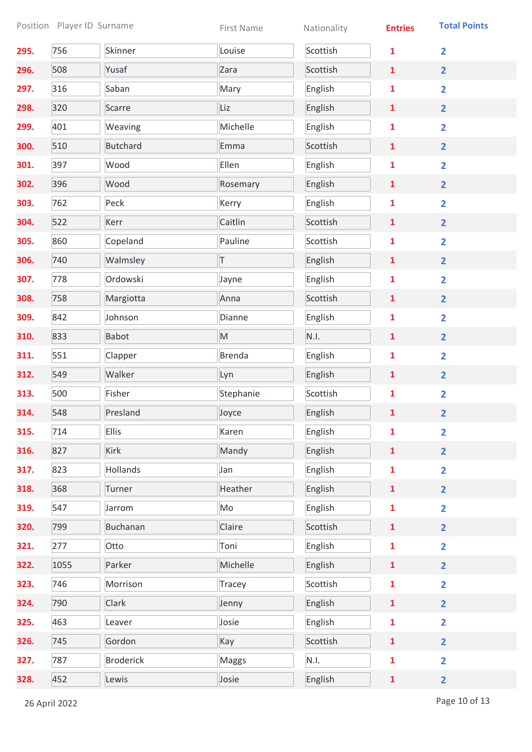|      | Position Player ID Surname |                  | First Name    | Nationality | <b>Entries</b> | <b>Total Points</b>     |
|------|----------------------------|------------------|---------------|-------------|----------------|-------------------------|
| 295. | 756                        | Skinner          | Louise        | Scottish    | $\mathbf{1}$   | $\overline{2}$          |
| 296. | 508                        | Yusaf            | Zara          | Scottish    | 1              | $\overline{2}$          |
| 297. | 316                        | Saban            | Mary          | English     | 1              | $\overline{\mathbf{2}}$ |
| 298. | 320                        | Scarre           | Liz           | English     | $\mathbf{1}$   | $\overline{2}$          |
| 299. | 401                        | Weaving          | Michelle      | English     | $\mathbf{1}$   | $\overline{2}$          |
| 300. | 510                        | <b>Butchard</b>  | Emma          | Scottish    | $\mathbf{1}$   | $\overline{2}$          |
| 301. | 397                        | Wood             | Ellen         | English     | $\mathbf{1}$   | $\overline{\mathbf{2}}$ |
| 302. | 396                        | Wood             | Rosemary      | English     | $\mathbf{1}$   | $\overline{2}$          |
| 303. | 762                        | Peck             | Kerry         | English     | $\mathbf{1}$   | $\overline{2}$          |
| 304. | 522                        | Kerr             | Caitlin       | Scottish    | $\mathbf{1}$   | $\overline{2}$          |
| 305. | 860                        | Copeland         | Pauline       | Scottish    | 1              | $\overline{\mathbf{2}}$ |
| 306. | 740                        | Walmsley         | T             | English     | $\mathbf{1}$   | $\overline{2}$          |
| 307. | 778                        | Ordowski         | Jayne         | English     | 1              | $\overline{\mathbf{2}}$ |
| 308. | 758                        | Margiotta        | Anna          | Scottish    | $\mathbf{1}$   | $\overline{2}$          |
| 309. | 842                        | Johnson          | Dianne        | English     | 1              | $\overline{2}$          |
| 310. | 833                        | <b>Babot</b>     | M             | N.I.        | $\mathbf{1}$   | $\overline{2}$          |
| 311. | 551                        | Clapper          | <b>Brenda</b> | English     | $\mathbf{1}$   | $\overline{2}$          |
| 312. | 549                        | Walker           | Lyn           | English     | $\mathbf{1}$   | $\overline{\mathbf{2}}$ |
| 313. | 500                        | Fisher           | Stephanie     | Scottish    | 1              | $\overline{2}$          |
| 314. | 548                        | Presland         | Joyce         | English     | 1              | $\overline{2}$          |
| 315. | 714                        | <b>Ellis</b>     | Karen         | English     | $\mathbf{1}$   | $\overline{2}$          |
| 316. | 827                        | <b>Kirk</b>      | Mandy         | English     | $\mathbf{1}$   | $\overline{2}$          |
| 317. | 823                        | Hollands         | Jan           | English     | $\mathbf{1}$   | $\overline{\mathbf{2}}$ |
| 318. | 368                        | Turner           | Heather       | English     | $\mathbf{1}$   | $\overline{2}$          |
| 319. | 547                        | Jarrom           | Mo            | English     | $\mathbf{1}$   | $\overline{2}$          |
| 320. | 799                        | <b>Buchanan</b>  | Claire        | Scottish    | $\mathbf{1}$   | $\overline{2}$          |
| 321. | 277                        | Otto             | Toni          | English     | $\mathbf{1}$   | $\overline{\mathbf{2}}$ |
| 322. | 1055                       | Parker           | Michelle      | English     | $\mathbf{1}$   | $\overline{2}$          |
| 323. | 746                        | Morrison         | <b>Tracey</b> | Scottish    | 1              | $\overline{\mathbf{2}}$ |
| 324. | 790                        | Clark            | Jenny         | English     | $\mathbf{1}$   | $\overline{2}$          |
| 325. | 463                        | Leaver           | Josie         | English     | 1              | $\overline{\mathbf{2}}$ |
| 326. | 745                        | Gordon           | Kay           | Scottish    | $\mathbf{1}$   | $\overline{\mathbf{2}}$ |
| 327. | 787                        | <b>Broderick</b> | Maggs         | N.I.        | $\mathbf{1}$   | $\overline{\mathbf{2}}$ |
| 328. | 452                        | Lewis            | Josie         | English     | $\mathbf{1}$   | $\overline{2}$          |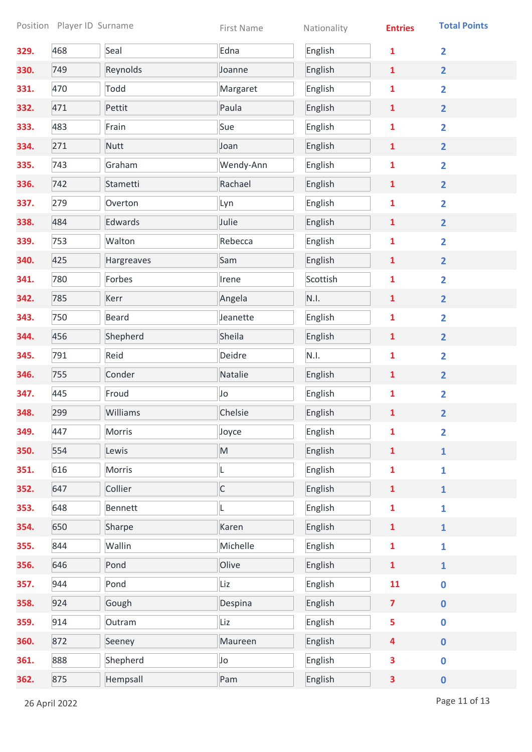|      |     | Position Player ID Surname | First Name                                                                                                 | Nationality | <b>Entries</b>          | <b>Total Points</b>     |
|------|-----|----------------------------|------------------------------------------------------------------------------------------------------------|-------------|-------------------------|-------------------------|
| 329. | 468 | Seal                       | Edna                                                                                                       | English     | $\mathbf{1}$            | $\overline{2}$          |
| 330. | 749 | Reynolds                   | Joanne                                                                                                     | English     | $\mathbf{1}$            | $\overline{2}$          |
| 331. | 470 | Todd                       | Margaret                                                                                                   | English     | $\mathbf{1}$            | $\overline{\mathbf{2}}$ |
| 332. | 471 | Pettit                     | Paula                                                                                                      | English     | $\mathbf{1}$            | $\overline{2}$          |
| 333. | 483 | Frain                      | Sue                                                                                                        | English     | $\mathbf{1}$            | $\overline{2}$          |
| 334. | 271 | <b>Nutt</b>                | Joan                                                                                                       | English     | $\mathbf{1}$            | $\overline{2}$          |
| 335. | 743 | Graham                     | Wendy-Ann                                                                                                  | English     | $\mathbf{1}$            | $\overline{\mathbf{2}}$ |
| 336. | 742 | Stametti                   | Rachael                                                                                                    | English     | $\mathbf{1}$            | $\overline{2}$          |
| 337. | 279 | Overton                    | Lyn                                                                                                        | English     | $\mathbf{1}$            | $\overline{2}$          |
| 338. | 484 | Edwards                    | Julie                                                                                                      | English     | $\mathbf{1}$            | $\overline{2}$          |
| 339. | 753 | Walton                     | Rebecca                                                                                                    | English     | $\mathbf{1}$            | $\overline{\mathbf{2}}$ |
| 340. | 425 | Hargreaves                 | Sam                                                                                                        | English     | $\mathbf{1}$            | $\overline{2}$          |
| 341. | 780 | Forbes                     | Irene                                                                                                      | Scottish    | 1                       | $\overline{2}$          |
| 342. | 785 | Kerr                       | Angela                                                                                                     | N.I.        | $\mathbf{1}$            | $\overline{2}$          |
| 343. | 750 | <b>Beard</b>               | Jeanette                                                                                                   | English     | 1                       | $\overline{2}$          |
| 344. | 456 | Shepherd                   | Sheila                                                                                                     | English     | $\mathbf{1}$            | $\overline{2}$          |
| 345. | 791 | Reid                       | Deidre                                                                                                     | N.I.        | $\mathbf{1}$            | $\overline{2}$          |
| 346. | 755 | Conder                     | Natalie                                                                                                    | English     | $\mathbf{1}$            | $\overline{2}$          |
| 347. | 445 | Froud                      | Jo                                                                                                         | English     | 1                       | $\overline{2}$          |
| 348. | 299 | Williams                   | Chelsie                                                                                                    | English     | $\mathbf{1}$            | $\overline{2}$          |
| 349. | 447 | <b>Morris</b>              | Joyce                                                                                                      | English     | $\mathbf{1}$            | $\overline{2}$          |
| 350. | 554 | Lewis                      | $\mathsf{M}% _{T}=\mathsf{M}_{T}\!\left( a,b\right) ,\ \mathsf{M}_{T}=\mathsf{M}_{T}\!\left( a,b\right) ,$ | English     | $\mathbf{1}$            | $\mathbf{1}$            |
| 351. | 616 | Morris                     | L                                                                                                          | English     | $\mathbf{1}$            | $\mathbf{1}$            |
| 352. | 647 | Collier                    | $\mathsf{C}$                                                                                               | English     | $\mathbf{1}$            | $\mathbf{1}$            |
| 353. | 648 | <b>Bennett</b>             | L                                                                                                          | English     | $\mathbf{1}$            | $\mathbf{1}$            |
| 354. | 650 | Sharpe                     | Karen                                                                                                      | English     | $\mathbf{1}$            | $\mathbf{1}$            |
| 355. | 844 | Wallin                     | Michelle                                                                                                   | English     | $\mathbf{1}$            | $\mathbf{1}$            |
| 356. | 646 | Pond                       | Olive                                                                                                      | English     | $\mathbf{1}$            | $\mathbf{1}$            |
| 357. | 944 | Pond                       | Liz                                                                                                        | English     | 11                      | $\mathbf 0$             |
| 358. | 924 | Gough                      | Despina                                                                                                    | English     | $\overline{7}$          | $\mathbf 0$             |
| 359. | 914 | Outram                     | Liz                                                                                                        | English     | 5                       | $\mathbf 0$             |
| 360. | 872 | Seeney                     | Maureen                                                                                                    | English     | $\overline{\mathbf{4}}$ | $\pmb{0}$               |
| 361. | 888 | Shepherd                   | Jo                                                                                                         | English     | 3                       | $\mathbf 0$             |
| 362. | 875 | Hempsall                   | Pam                                                                                                        | English     | 3                       | $\pmb{0}$               |